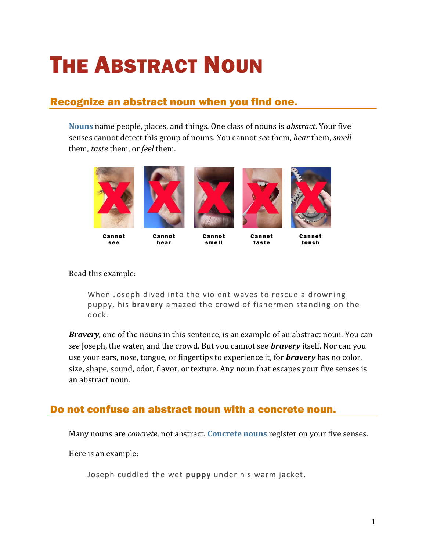## **THE ABSTRACT NOUN**

## Recognize an abstract noun when you find one.

**[Nouns](https://chompchomp.com/terms/noun.htm)** name people, places, and things. One class of nouns is *abstract*. Your five senses cannot detect this group of nouns. You cannot *see* them, *hear* them, *smell* them, *taste* them, or *feel* them.



Can not s ee

Can not hear



Can not tas te

Can not touch

## Read this example:

When Joseph dived into the violent waves to rescue a drowning puppy, his **bravery** amazed the crowd of fishermen standing on the dock.

*Bravery*, one of the nouns in this sentence, is an example of an abstract noun. You can *see* Joseph, the water, and the crowd. But you cannot see *bravery* itself. Nor can you use your ears, nose, tongue, or fingertips to experience it, for *bravery* has no color, size, shape, sound, odor, flavor, or texture. Any noun that escapes your five senses is an abstract noun.

## Do not confuse an abstract noun with a concrete noun.

Many nouns are *concrete*, not abstract. **[Concrete nouns](https://chompchomp.com/terms/concretenoun.htm)** register on your five senses.

Here is an example:

Joseph cuddled the wet **puppy** under his warm jacket.